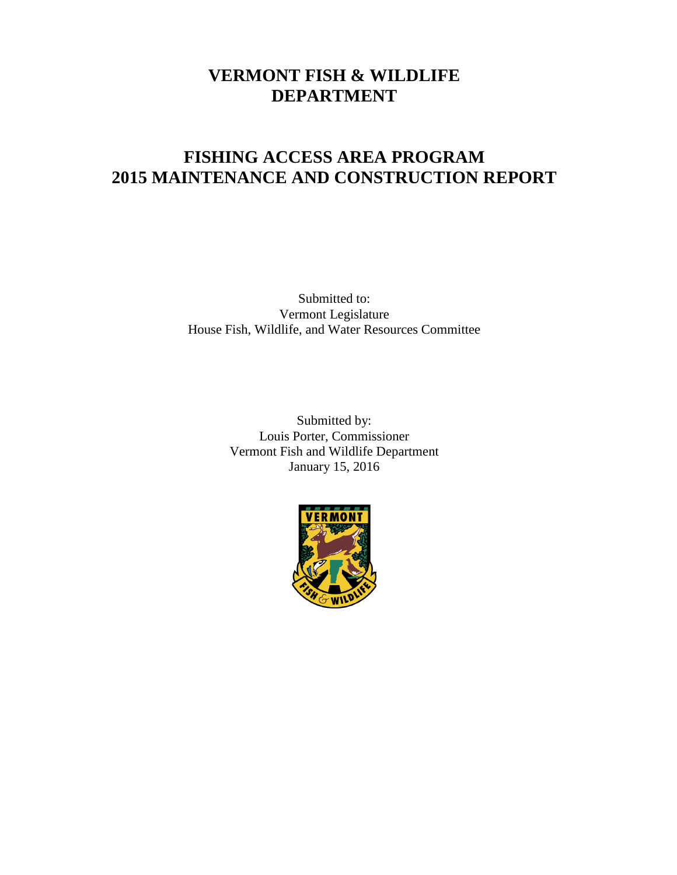# **VERMONT FISH & WILDLIFE DEPARTMENT**

# **FISHING ACCESS AREA PROGRAM 2015 MAINTENANCE AND CONSTRUCTION REPORT**

Submitted to: Vermont Legislature House Fish, Wildlife, and Water Resources Committee

> Submitted by: Louis Porter, Commissioner Vermont Fish and Wildlife Department January 15, 2016

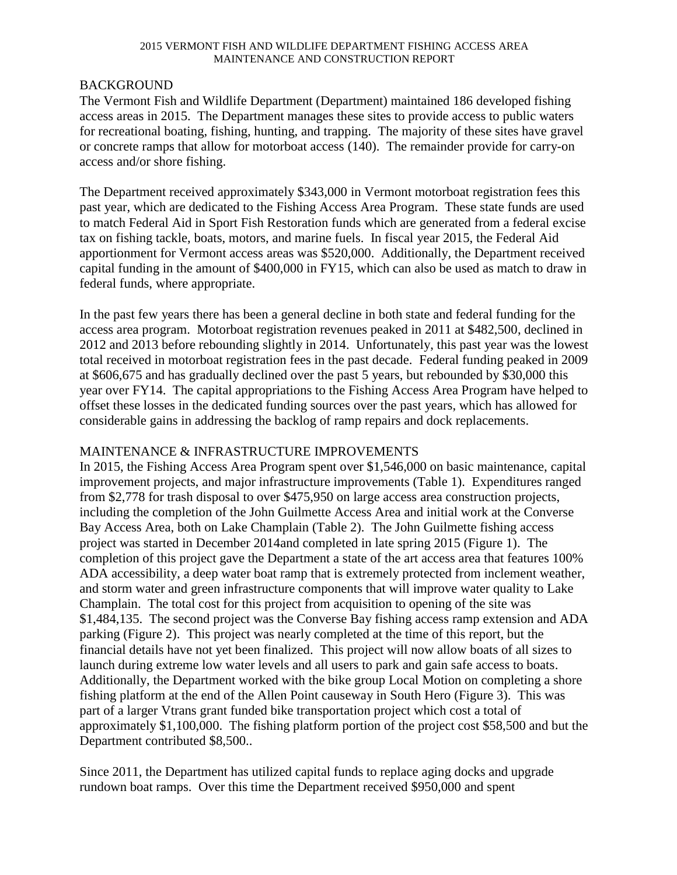## BACKGROUND

The Vermont Fish and Wildlife Department (Department) maintained 186 developed fishing access areas in 2015. The Department manages these sites to provide access to public waters for recreational boating, fishing, hunting, and trapping. The majority of these sites have gravel or concrete ramps that allow for motorboat access (140). The remainder provide for carry-on access and/or shore fishing.

The Department received approximately \$343,000 in Vermont motorboat registration fees this past year, which are dedicated to the Fishing Access Area Program. These state funds are used to match Federal Aid in Sport Fish Restoration funds which are generated from a federal excise tax on fishing tackle, boats, motors, and marine fuels. In fiscal year 2015, the Federal Aid apportionment for Vermont access areas was \$520,000. Additionally, the Department received capital funding in the amount of \$400,000 in FY15, which can also be used as match to draw in federal funds, where appropriate.

In the past few years there has been a general decline in both state and federal funding for the access area program. Motorboat registration revenues peaked in 2011 at \$482,500, declined in 2012 and 2013 before rebounding slightly in 2014. Unfortunately, this past year was the lowest total received in motorboat registration fees in the past decade. Federal funding peaked in 2009 at \$606,675 and has gradually declined over the past 5 years, but rebounded by \$30,000 this year over FY14. The capital appropriations to the Fishing Access Area Program have helped to offset these losses in the dedicated funding sources over the past years, which has allowed for considerable gains in addressing the backlog of ramp repairs and dock replacements.

## MAINTENANCE & INFRASTRUCTURE IMPROVEMENTS

In 2015, the Fishing Access Area Program spent over \$1,546,000 on basic maintenance, capital improvement projects, and major infrastructure improvements (Table 1). Expenditures ranged from \$2,778 for trash disposal to over \$475,950 on large access area construction projects, including the completion of the John Guilmette Access Area and initial work at the Converse Bay Access Area, both on Lake Champlain (Table 2). The John Guilmette fishing access project was started in December 2014and completed in late spring 2015 (Figure 1). The completion of this project gave the Department a state of the art access area that features 100% ADA accessibility, a deep water boat ramp that is extremely protected from inclement weather, and storm water and green infrastructure components that will improve water quality to Lake Champlain. The total cost for this project from acquisition to opening of the site was \$1,484,135. The second project was the Converse Bay fishing access ramp extension and ADA parking (Figure 2). This project was nearly completed at the time of this report, but the financial details have not yet been finalized. This project will now allow boats of all sizes to launch during extreme low water levels and all users to park and gain safe access to boats. Additionally, the Department worked with the bike group Local Motion on completing a shore fishing platform at the end of the Allen Point causeway in South Hero (Figure 3). This was part of a larger Vtrans grant funded bike transportation project which cost a total of approximately \$1,100,000. The fishing platform portion of the project cost \$58,500 and but the Department contributed \$8,500..

Since 2011, the Department has utilized capital funds to replace aging docks and upgrade rundown boat ramps. Over this time the Department received \$950,000 and spent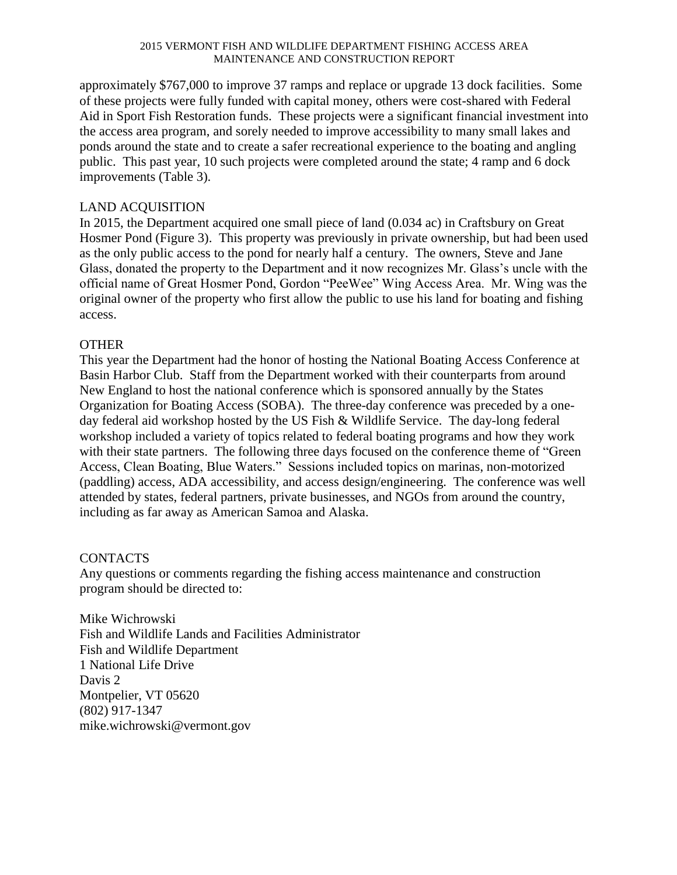approximately \$767,000 to improve 37 ramps and replace or upgrade 13 dock facilities. Some of these projects were fully funded with capital money, others were cost-shared with Federal Aid in Sport Fish Restoration funds. These projects were a significant financial investment into the access area program, and sorely needed to improve accessibility to many small lakes and ponds around the state and to create a safer recreational experience to the boating and angling public. This past year, 10 such projects were completed around the state; 4 ramp and 6 dock improvements (Table 3).

## LAND ACQUISITION

In 2015, the Department acquired one small piece of land (0.034 ac) in Craftsbury on Great Hosmer Pond (Figure 3). This property was previously in private ownership, but had been used as the only public access to the pond for nearly half a century. The owners, Steve and Jane Glass, donated the property to the Department and it now recognizes Mr. Glass's uncle with the official name of Great Hosmer Pond, Gordon "PeeWee" Wing Access Area. Mr. Wing was the original owner of the property who first allow the public to use his land for boating and fishing access.

## **OTHER**

This year the Department had the honor of hosting the National Boating Access Conference at Basin Harbor Club. Staff from the Department worked with their counterparts from around New England to host the national conference which is sponsored annually by the States Organization for Boating Access (SOBA). The three-day conference was preceded by a oneday federal aid workshop hosted by the US Fish & Wildlife Service. The day-long federal workshop included a variety of topics related to federal boating programs and how they work with their state partners. The following three days focused on the conference theme of "Green Access, Clean Boating, Blue Waters." Sessions included topics on marinas, non-motorized (paddling) access, ADA accessibility, and access design/engineering. The conference was well attended by states, federal partners, private businesses, and NGOs from around the country, including as far away as American Samoa and Alaska.

## CONTACTS

Any questions or comments regarding the fishing access maintenance and construction program should be directed to:

Mike Wichrowski Fish and Wildlife Lands and Facilities Administrator Fish and Wildlife Department 1 National Life Drive Davis 2 Montpelier, VT 05620 (802) 917-1347 mike.wichrowski@vermont.gov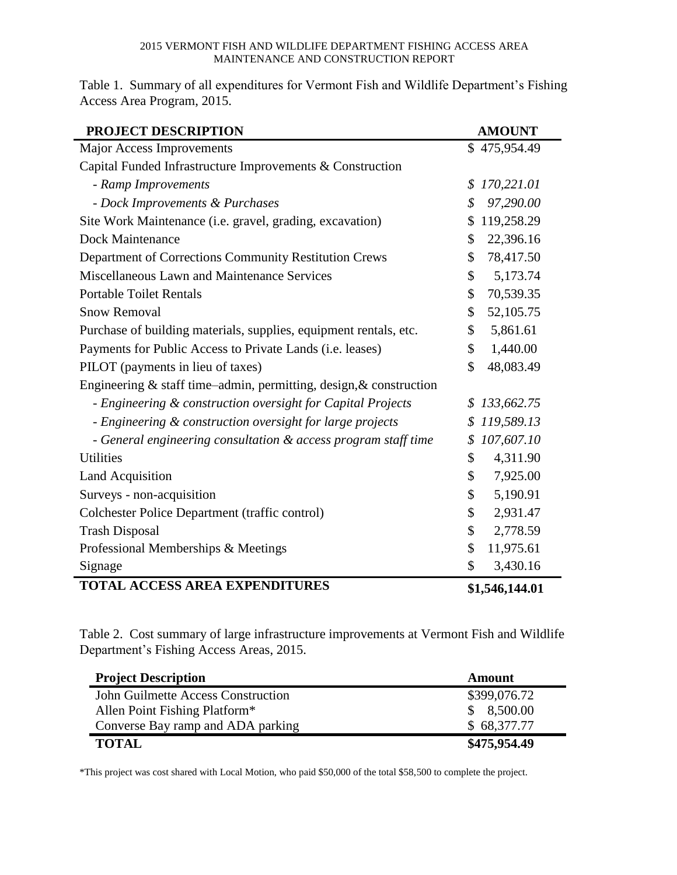Table 1. Summary of all expenditures for Vermont Fish and Wildlife Department's Fishing Access Area Program, 2015.

| PROJECT DESCRIPTION                                                | <b>AMOUNT</b>    |
|--------------------------------------------------------------------|------------------|
| <b>Major Access Improvements</b>                                   | \$475,954.49     |
| Capital Funded Infrastructure Improvements & Construction          |                  |
| - Ramp Improvements                                                | 170,221.01<br>\$ |
| - Dock Improvements & Purchases                                    | 97,290.00<br>\$  |
| Site Work Maintenance (i.e. gravel, grading, excavation)           | 119,258.29<br>\$ |
| <b>Dock Maintenance</b>                                            | 22,396.16<br>\$  |
| Department of Corrections Community Restitution Crews              | 78,417.50<br>\$  |
| Miscellaneous Lawn and Maintenance Services                        | \$<br>5,173.74   |
| <b>Portable Toilet Rentals</b>                                     | \$<br>70,539.35  |
| <b>Snow Removal</b>                                                | \$<br>52,105.75  |
| Purchase of building materials, supplies, equipment rentals, etc.  | 5,861.61<br>\$   |
| Payments for Public Access to Private Lands (i.e. leases)          | \$<br>1,440.00   |
| PILOT (payments in lieu of taxes)                                  | \$<br>48,083.49  |
| Engineering & staff time-admin, permitting, design, & construction |                  |
| - Engineering & construction oversight for Capital Projects        | 133,662.75<br>S  |
| - Engineering & construction oversight for large projects          | 119,589.13<br>\$ |
| - General engineering consultation & access program staff time     | 107,607.10<br>\$ |
| <b>Utilities</b>                                                   | 4,311.90<br>\$   |
| <b>Land Acquisition</b>                                            | \$<br>7,925.00   |
| Surveys - non-acquisition                                          | \$<br>5,190.91   |
| Colchester Police Department (traffic control)                     | \$<br>2,931.47   |
| <b>Trash Disposal</b>                                              | \$<br>2,778.59   |
| Professional Memberships & Meetings                                | \$<br>11,975.61  |
| Signage                                                            | \$<br>3,430.16   |
| <b>TOTAL ACCESS AREA EXPENDITURES</b>                              | \$1,546,144.01   |

Table 2. Cost summary of large infrastructure improvements at Vermont Fish and Wildlife Department's Fishing Access Areas, 2015.

| <b>Project Description</b>         | Amount       |
|------------------------------------|--------------|
| John Guilmette Access Construction | \$399,076.72 |
| Allen Point Fishing Platform*      | \$8,500.00   |
| Converse Bay ramp and ADA parking  | \$68,377.77  |
| <b>TOTAL</b>                       | \$475,954.49 |

\*This project was cost shared with Local Motion, who paid \$50,000 of the total \$58,500 to complete the project.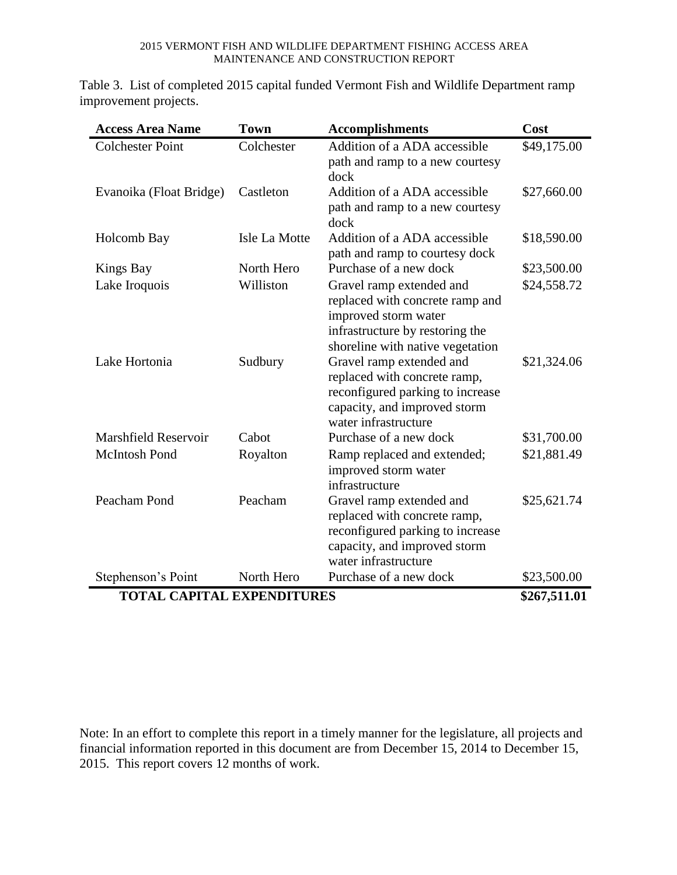Table 3. List of completed 2015 capital funded Vermont Fish and Wildlife Department ramp improvement projects.

| <b>Access Area Name</b>           | <b>Town</b>   | <b>Accomplishments</b>                                                                                                                                     | Cost         |
|-----------------------------------|---------------|------------------------------------------------------------------------------------------------------------------------------------------------------------|--------------|
| <b>Colchester Point</b>           | Colchester    | Addition of a ADA accessible<br>path and ramp to a new courtesy<br>dock                                                                                    | \$49,175.00  |
| Evanoika (Float Bridge)           | Castleton     | Addition of a ADA accessible<br>path and ramp to a new courtesy<br>dock                                                                                    | \$27,660.00  |
| Holcomb Bay                       | Isle La Motte | Addition of a ADA accessible<br>path and ramp to courtesy dock                                                                                             | \$18,590.00  |
| Kings Bay                         | North Hero    | Purchase of a new dock                                                                                                                                     | \$23,500.00  |
| Lake Iroquois                     | Williston     | Gravel ramp extended and<br>replaced with concrete ramp and<br>improved storm water<br>infrastructure by restoring the<br>shoreline with native vegetation | \$24,558.72  |
| Lake Hortonia                     | Sudbury       | Gravel ramp extended and<br>replaced with concrete ramp,<br>reconfigured parking to increase<br>capacity, and improved storm<br>water infrastructure       | \$21,324.06  |
| Marshfield Reservoir              | Cabot         | Purchase of a new dock                                                                                                                                     | \$31,700.00  |
| <b>McIntosh Pond</b>              | Royalton      | Ramp replaced and extended;<br>improved storm water<br>infrastructure                                                                                      | \$21,881.49  |
| Peacham Pond                      | Peacham       | Gravel ramp extended and<br>replaced with concrete ramp,<br>reconfigured parking to increase<br>capacity, and improved storm<br>water infrastructure       | \$25,621.74  |
| Stephenson's Point                | North Hero    | Purchase of a new dock                                                                                                                                     | \$23,500.00  |
| <b>TOTAL CAPITAL EXPENDITURES</b> |               |                                                                                                                                                            | \$267,511.01 |

Note: In an effort to complete this report in a timely manner for the legislature, all projects and financial information reported in this document are from December 15, 2014 to December 15, 2015. This report covers 12 months of work.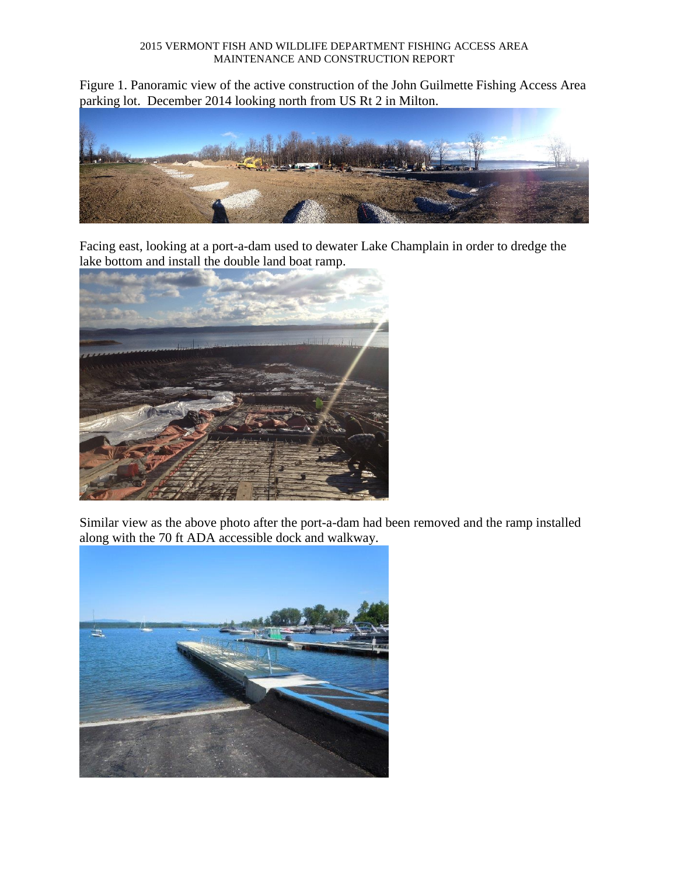Figure 1. Panoramic view of the active construction of the John Guilmette Fishing Access Area parking lot. December 2014 looking north from US Rt 2 in Milton.



Facing east, looking at a port-a-dam used to dewater Lake Champlain in order to dredge the lake bottom and install the double land boat ramp.



Similar view as the above photo after the port-a-dam had been removed and the ramp installed along with the 70 ft ADA accessible dock and walkway.

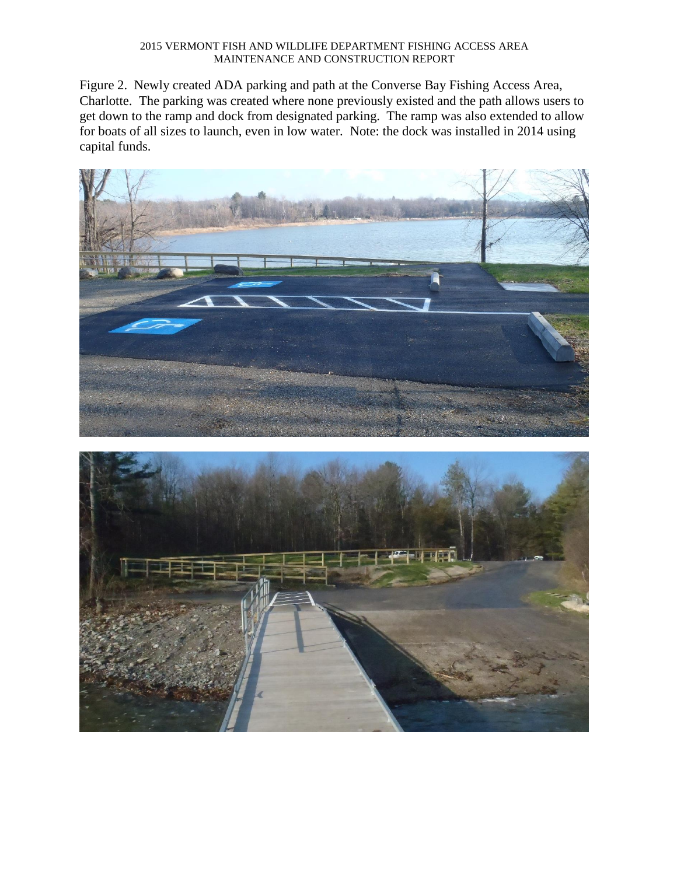Figure 2. Newly created ADA parking and path at the Converse Bay Fishing Access Area, Charlotte. The parking was created where none previously existed and the path allows users to get down to the ramp and dock from designated parking. The ramp was also extended to allow for boats of all sizes to launch, even in low water. Note: the dock was installed in 2014 using capital funds.